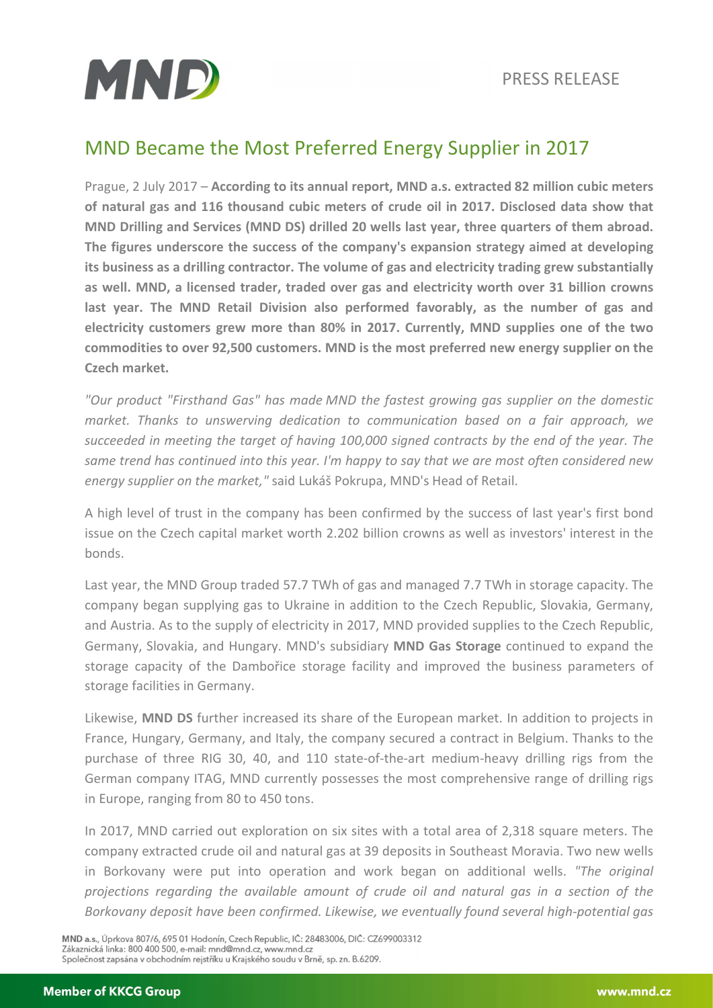

## MND Became the Most Preferred Energy Supplier in 2017

Prague, 2 July 2017 – According to its annual report, MND a.s. extracted 82 million cubic meters of natural gas and 116 thousand cubic meters of crude oil in 2017. Disclosed data show that MND Drilling and Services (MND DS) drilled 20 wells last year, three quarters of them abroad. The figures underscore the success of the company's expansion strategy aimed at developing its business as a drilling contractor. The volume of gas and electricity trading grew substantially as well. MND, a licensed trader, traded over gas and electricity worth over 31 billion crowns last year. The MND Retail Division also performed favorably, as the number of gas and electricity customers grew more than 80% in 2017. Currently, MND supplies one of the two commodities to over 92,500 customers. MND is the most preferred new energy supplier on the Czech market.

"Our product "Firsthand Gas" has made MND the fastest growing gas supplier on the domestic market. Thanks to unswerving dedication to communication based on a fair approach, we succeeded in meeting the target of having 100,000 signed contracts by the end of the year. The same trend has continued into this year. I'm happy to say that we are most often considered new energy supplier on the market," said Lukáš Pokrupa, MND's Head of Retail.

A high level of trust in the company has been confirmed by the success of last year's first bond issue on the Czech capital market worth 2.202 billion crowns as well as investors' interest in the bonds.

Last year, the MND Group traded 57.7 TWh of gas and managed 7.7 TWh in storage capacity. The company began supplying gas to Ukraine in addition to the Czech Republic, Slovakia, Germany, and Austria. As to the supply of electricity in 2017, MND provided supplies to the Czech Republic, Germany, Slovakia, and Hungary. MND's subsidiary MND Gas Storage continued to expand the storage capacity of the Dambořice storage facility and improved the business parameters of storage facilities in Germany.

Likewise, MND DS further increased its share of the European market. In addition to projects in France, Hungary, Germany, and Italy, the company secured a contract in Belgium. Thanks to the purchase of three RIG 30, 40, and 110 state-of-the-art medium-heavy drilling rigs from the German company ITAG, MND currently possesses the most comprehensive range of drilling rigs in Europe, ranging from 80 to 450 tons.

In 2017, MND carried out exploration on six sites with a total area of 2,318 square meters. The company extracted crude oil and natural gas at 39 deposits in Southeast Moravia. Two new wells in Borkovany were put into operation and work began on additional wells. "The original projections regarding the available amount of crude oil and natural gas in a section of the Borkovany deposit have been confirmed. Likewise, we eventually found several high-potential gas

MND a.s., Úprkova 807/6, 695 01 Hodonín, Czech Republic, IČ: 28483006, DIČ: CZ699003312 Zákaznická linka: 800 400 500, e-mail: mnd@mnd.cz, www.mnd.cz Společnost zapsána v obchodním rejstříku u Krajského soudu v Brně, sp. zn. B.6209.